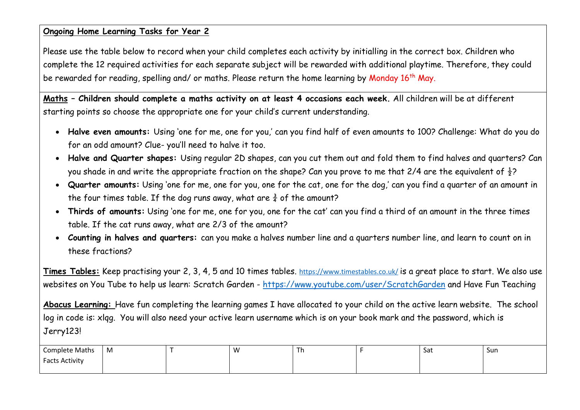#### **Ongoing Home Learning Tasks for Year 2**

Please use the table below to record when your child completes each activity by initialling in the correct box. Children who complete the 12 required activities for each separate subject will be rewarded with additional playtime. Therefore, they could be rewarded for reading, spelling and/ or maths. Please return the home learning by Monday 16<sup>th</sup> May.

**Maths – Children should complete a maths activity on at least 4 occasions each week.** All children will be at different starting points so choose the appropriate one for your child's current understanding.

- **Halve even amounts:** Using 'one for me, one for you,' can you find half of even amounts to 100? Challenge: What do you do for an odd amount? Clue- you'll need to halve it too.
- **Halve and Quarter shapes:** Using regular 2D shapes, can you cut them out and fold them to find halves and quarters? Can you shade in and write the appropriate fraction on the shape? Can you prove to me that 2/4 are the equivalent of  $\frac{1}{2}$ ?
- **Quarter amounts:** Using 'one for me, one for you, one for the cat, one for the dog,' can you find a quarter of an amount in the four times table. If the dog runs away, what are  $\frac{3}{4}$  of the amount?
- **Thirds of amounts:** Using 'one for me, one for you, one for the cat' can you find a third of an amount in the three times table. If the cat runs away, what are 2/3 of the amount?
- **Counting in halves and quarters:** can you make a halves number line and a quarters number line, and learn to count on in these fractions?

**Times Tables:** Keep practising your 2, 3, 4, 5 and 10 times tables. <https://www.timestables.co.uk/> is a great place to start. We also use websites on You Tube to help us learn: Scratch Garden - <https://www.youtube.com/user/ScratchGarden> and Have Fun Teaching

**Abacus Learning:** Have fun completing the learning games I have allocated to your child on the active learn website. The school log in code is: xlqg. You will also need your active learn username which is on your book mark and the password, which is Jerry123!

| <b>Complete Maths</b> | M | w<br>. . |  | -Sat | Sun |
|-----------------------|---|----------|--|------|-----|
| <b>Facts Activity</b> |   |          |  |      |     |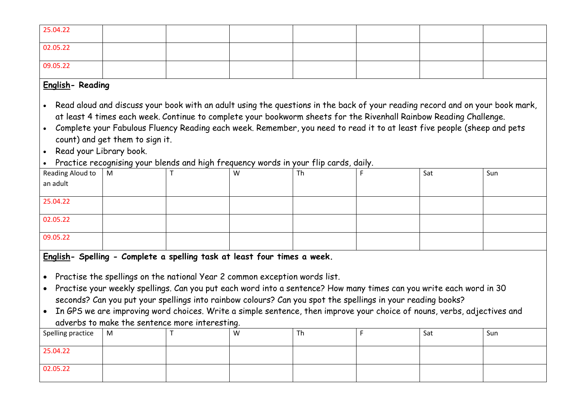| 25.04.22 |  |  |  |  |
|----------|--|--|--|--|
| 02.05.22 |  |  |  |  |
| 09.05.22 |  |  |  |  |

### **English- Reading**

- Read aloud and discuss your book with an adult using the questions in the back of your reading record and on your book mark, at least 4 times each week. Continue to complete your bookworm sheets for the Rivenhall Rainbow Reading Challenge.
- Complete your Fabulous Fluency Reading each week. Remember, you need to read it to at least five people (sheep and pets count) and get them to sign it.
- Read your Library book.
- Practice recognising your blends and high frequency words in your flip cards, daily.

|                                                         | - - | W | $\sim$<br>Th | Sat | Sun |
|---------------------------------------------------------|-----|---|--------------|-----|-----|
| Reading Aloud to $\begin{bmatrix} M \\ N \end{bmatrix}$ |     |   |              |     |     |
| 25.04.22                                                |     |   |              |     |     |
| 02.05.22                                                |     |   |              |     |     |
| 09.05.22                                                |     |   |              |     |     |

**English- Spelling - Complete a spelling task at least four times a week.**

- Practise the spellings on the national Year 2 common exception words list.
- Practise your weekly spellings. Can you put each word into a sentence? How many times can you write each word in 30 seconds? Can you put your spellings into rainbow colours? Can you spot the spellings in your reading books?
- In GPS we are improving word choices. Write a simple sentence, then improve your choice of nouns, verbs, adjectives and adverbs to make the sentence more interesting.

| Spelling practice   M |  | W | Th | Sat | Sun |
|-----------------------|--|---|----|-----|-----|
| 25.04.22              |  |   |    |     |     |
| 02.05.22              |  |   |    |     |     |